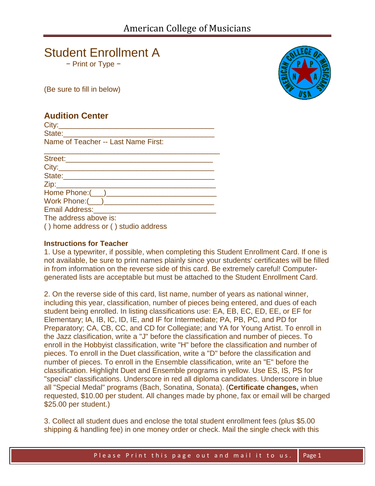# Student Enrollment A

− Print or Type −

(Be sure to fill in below)

# **Audition Center**

 $City:$ State:\_\_\_\_\_\_\_\_\_\_\_\_\_\_\_\_\_\_\_\_\_\_\_\_\_\_\_\_\_\_\_\_\_\_\_\_\_ Name of Teacher -- Last Name First:

| Street:____________                                                                                            |
|----------------------------------------------------------------------------------------------------------------|
| City: 2008 2014 2022 2023 2024 2022 2022 2023 2024 2022 2023 2024 2022 2023 2024 2022 2023 2024 2025 2026 2027 |
| State:_____________                                                                                            |
| <u>Zip:____________________________</u>                                                                        |
|                                                                                                                |
|                                                                                                                |
| Email Address: _____________________                                                                           |
| The address above is:                                                                                          |
| () home address or () studio address                                                                           |

### **Instructions for Teacher**

1. Use a typewriter, if possible, when completing this Student Enrollment Card. If one is not available, be sure to print names plainly since your students' certificates will be filled in from information on the reverse side of this card. Be extremely careful! Computergenerated lists are acceptable but must be attached to the Student Enrollment Card.

2. On the reverse side of this card, list name, number of years as national winner, including this year, classification, number of pieces being entered, and dues of each student being enrolled. In listing classifications use: EA, EB, EC, ED, EE, or EF for Elementary; IA, IB, IC, ID, IE, and IF for Intermediate; PA, PB, PC, and PD for Preparatory; CA, CB, CC, and CD for Collegiate; and YA for Young Artist. To enroll in the Jazz clasification, write a "J" before the classification and number of pieces. To enroll in the Hobbyist classification, write "H" before the classification and number of pieces. To enroll in the Duet classification, write a "D" before the classification and number of pieces. To enroll in the Ensemble classification, write an "E" before the classification. Highlight Duet and Ensemble programs in yellow. Use ES, IS, PS for "special" classifications. Underscore in red all diploma candidates. Underscore in blue all "Special Medal" programs (Bach, Sonatina, Sonata). (**Certificate changes,** when requested, \$10.00 per student. All changes made by phone, fax or email will be charged \$25.00 per student.)

3. Collect all student dues and enclose the total student enrollment fees (plus \$5.00 shipping & handling fee) in one money order or check. Mail the single check with this